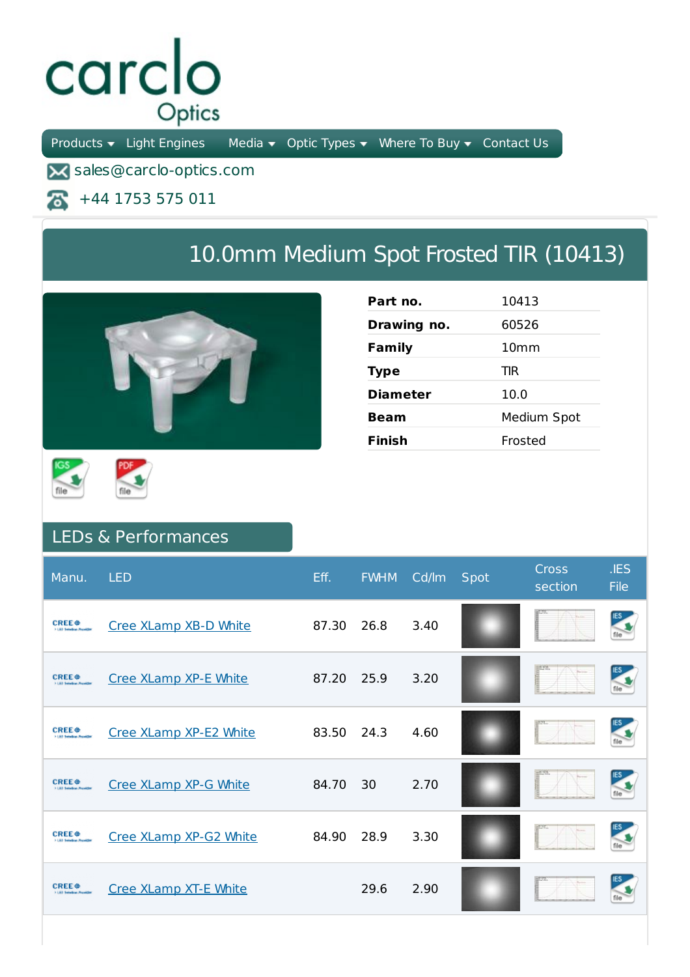## carclo Optics

Products  $\bullet$  Light Engines Media  $\bullet$  Optic Types  $\bullet$  Where To Buy  $\bullet$  Contact Us

**X** sales@carclo-optics.com

+44 1753 575 011 ж

## 10.0mm Medium Spot Frosted TIR (10413)







## LEDs & Performances

| Manu.                                                                  | <b>LED</b>             | Eff.  | <b>FWHM</b> | Cd/lm | Spot | <b>Cross</b><br>section | IES<br><b>File</b> |
|------------------------------------------------------------------------|------------------------|-------|-------------|-------|------|-------------------------|--------------------|
| <b>CREE</b> <sup><math>\oplus</math></sup><br>3 LEO Saledon, Provide   | Cree XLamp XB-D White  | 87.30 | 26.8        | 3.40  |      |                         |                    |
| <b>CREE</b> <sup><math>\oplus</math></sup>                             | Cree XLamp XP-E White  | 87.20 | 25.9        | 3.20  |      |                         |                    |
| <b>CREE</b> <sup>e</sup>                                               | Cree XLamp XP-E2 White | 83.50 | 24.3        | 4.60  |      |                         | <b>IES</b>         |
| <b>CREE</b> <sup><math>\bullet</math></sup><br>5.1.80 Saludium Preside | Cree XLamp XP-G White  | 84.70 | 30          | 2.70  |      |                         |                    |
| <b>CREE</b> $\oplus$                                                   | Cree XLamp XP-G2 White | 84.90 | 28.9        | 3.30  |      |                         |                    |
| <b>CREE</b> <sup><math>\bullet</math></sup>                            | Cree XLamp XT-E White  |       | 29.6        | 2.90  |      |                         |                    |